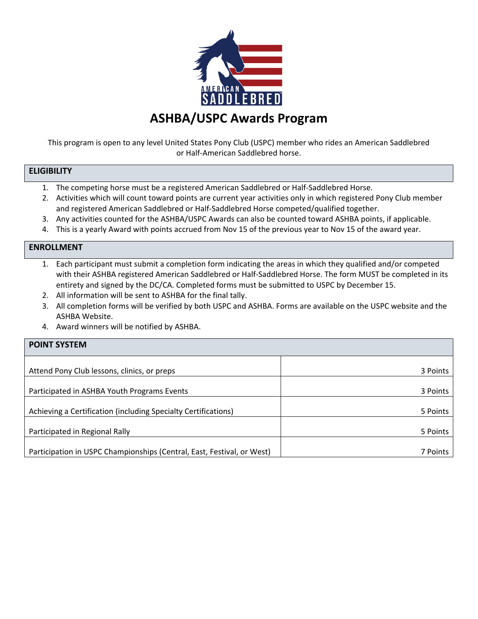

This program is open to any level United States Pony Club (USPC) member who rides an American Saddlebred or Half-American Saddlebred horse.

## **ELIGIBILITY**

- 1. The competing horse must be a registered American Saddlebred or Half-Saddlebred Horse.
- 2. Activities which will count toward points are current year activities only in which registered Pony Club member and registered American Saddlebred or Half-Saddlebred Horse competed/qualified together.
- 3. Any activities counted for the ASHBA/USPC Awards can also be counted toward ASHBA points, if applicable.
- 4. This is a yearly Award with points accrued from Nov 15 of the previous year to Nov 15 of the award year.

## **ENROLLMENT**

- 1. Each participant must submit a completion form indicating the areas in which they qualified and/or competed with their ASHBA registered American Saddlebred or Half-Saddlebred Horse. The form MUST be completed in its entirety and signed by the DC/CA. Completed forms must be submitted to USPC by December 15.
- 2. All information will be sent to ASHBA for the final tally.
- 3. All completion forms will be verified by both USPC and ASHBA. Forms are available on the USPC website and the ASHBA Website.
- 4. Award winners will be notified by ASHBA.

| <b>POINT SYSTEM</b>                                                    |          |  |  |  |  |
|------------------------------------------------------------------------|----------|--|--|--|--|
|                                                                        |          |  |  |  |  |
| Attend Pony Club lessons, clinics, or preps                            | 3 Points |  |  |  |  |
|                                                                        |          |  |  |  |  |
| Participated in ASHBA Youth Programs Events                            | 3 Points |  |  |  |  |
|                                                                        |          |  |  |  |  |
| Achieving a Certification (including Specialty Certifications)         | 5 Points |  |  |  |  |
|                                                                        |          |  |  |  |  |
| Participated in Regional Rally                                         | 5 Points |  |  |  |  |
|                                                                        |          |  |  |  |  |
| Participation in USPC Championships (Central, East, Festival, or West) | 7 Points |  |  |  |  |